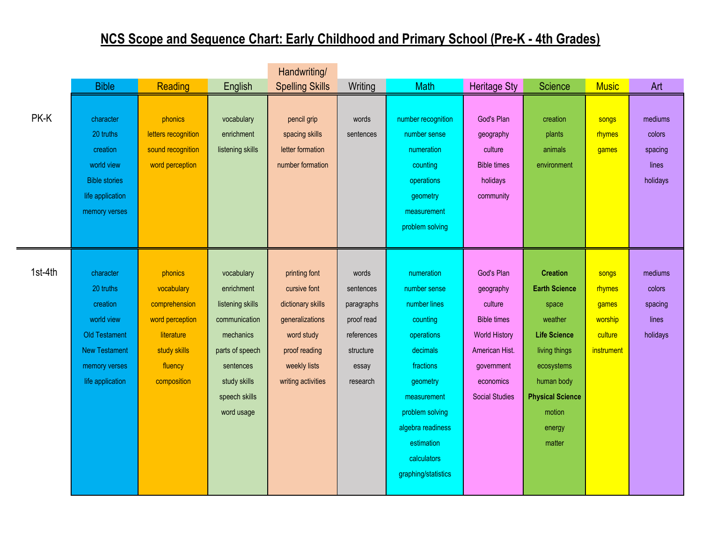## **NCS Scope and Sequence Chart: Early Childhood and Primary School (Pre-K - 4th Grades)**

|         |                                                                                                                                       |                                                                                                                   |                                                                                                                                                           | Handwriting/                                                                                                                               |                                                                                                |                                                                                                                                                                                                                      |                                                                                                                                                        |                                                                                                                                                                                          |                                                              |                                                   |
|---------|---------------------------------------------------------------------------------------------------------------------------------------|-------------------------------------------------------------------------------------------------------------------|-----------------------------------------------------------------------------------------------------------------------------------------------------------|--------------------------------------------------------------------------------------------------------------------------------------------|------------------------------------------------------------------------------------------------|----------------------------------------------------------------------------------------------------------------------------------------------------------------------------------------------------------------------|--------------------------------------------------------------------------------------------------------------------------------------------------------|------------------------------------------------------------------------------------------------------------------------------------------------------------------------------------------|--------------------------------------------------------------|---------------------------------------------------|
|         | <b>Bible</b>                                                                                                                          | Reading                                                                                                           | English                                                                                                                                                   | <b>Spelling Skills</b>                                                                                                                     | Writing                                                                                        | Math                                                                                                                                                                                                                 | Heritage Sty                                                                                                                                           | Science                                                                                                                                                                                  | <b>Music</b>                                                 | Art                                               |
| PK-K    | character<br>20 truths<br>creation<br>world view<br><b>Bible stories</b><br>life application<br>memory verses                         | phonics<br>letters recognition<br>sound recognition<br>word perception                                            | vocabulary<br>enrichment<br>listening skills                                                                                                              | pencil grip<br>spacing skills<br>letter formation<br>number formation                                                                      | words<br>sentences                                                                             | number recognition<br>number sense<br>numeration<br>counting<br>operations<br>geometry<br>measurement<br>problem solving                                                                                             | God's Plan<br>geography<br>culture<br><b>Bible times</b><br>holidays<br>community                                                                      | creation<br>plants<br>animals<br>environment                                                                                                                                             | songs<br>rhymes<br>games                                     | mediums<br>colors<br>spacing<br>lines<br>holidays |
| 1st-4th | character<br>20 truths<br>creation<br>world view<br><b>Old Testament</b><br><b>New Testament</b><br>memory verses<br>life application | phonics<br>vocabulary<br>comprehension<br>word perception<br>literature<br>study skills<br>fluency<br>composition | vocabulary<br>enrichment<br>listening skills<br>communication<br>mechanics<br>parts of speech<br>sentences<br>study skills<br>speech skills<br>word usage | printing font<br>cursive font<br>dictionary skills<br>generalizations<br>word study<br>proof reading<br>weekly lists<br>writing activities | words<br>sentences<br>paragraphs<br>proof read<br>references<br>structure<br>essay<br>research | numeration<br>number sense<br>number lines<br>counting<br>operations<br>decimals<br>fractions<br>geometry<br>measurement<br>problem solving<br>algebra readiness<br>estimation<br>calculators<br>graphing/statistics | God's Plan<br>geography<br>culture<br><b>Bible times</b><br><b>World History</b><br>American Hist.<br>government<br>economics<br><b>Social Studies</b> | <b>Creation</b><br><b>Earth Science</b><br>space<br>weather<br><b>Life Science</b><br>living things<br>ecosystems<br>human body<br><b>Physical Science</b><br>motion<br>energy<br>matter | songs<br>rhymes<br>games<br>worship<br>culture<br>instrument | mediums<br>colors<br>spacing<br>lines<br>holidays |